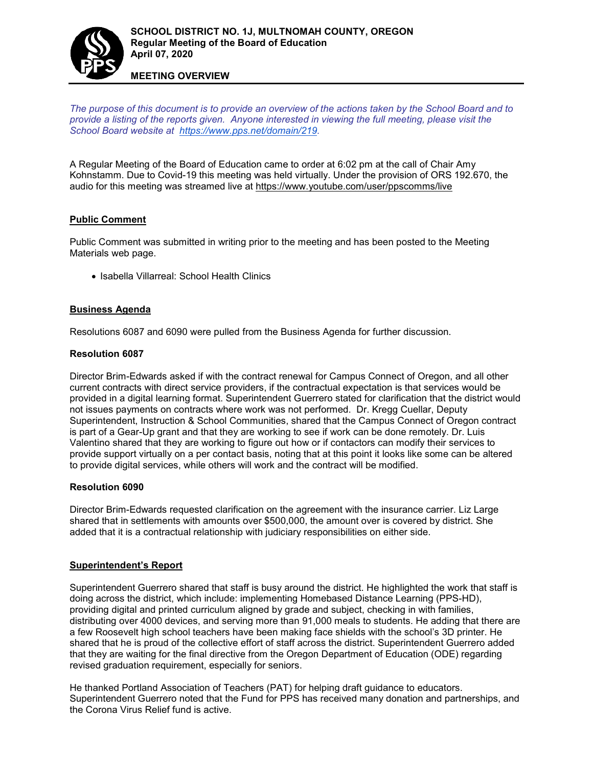

#### **MEETING OVERVIEW**

*The purpose of this document is to provide an overview of the actions taken by the School Board and to provide a listing of the reports given. Anyone interested in viewing the full meeting, please visit the School Board website at [https://www.pps.net/domain/219.](https://www.pps.net/domain/219)*

A Regular Meeting of the Board of Education came to order at 6:02 pm at the call of Chair Amy Kohnstamm. Due to Covid-19 this meeting was held virtually. Under the provision of ORS 192.670, the audio for this meeting was streamed live at <https://www.youtube.com/user/ppscomms/live>

## **Public Comment**

Public Comment was submitted in writing prior to the meeting and has been posted to the Meeting Materials web page.

• Isabella Villarreal: School Health Clinics

## **Business Agenda**

Resolutions 6087 and 6090 were pulled from the Business Agenda for further discussion.

#### **Resolution 6087**

Director Brim-Edwards asked if with the contract renewal for Campus Connect of Oregon, and all other current contracts with direct service providers, if the contractual expectation is that services would be provided in a digital learning format. Superintendent Guerrero stated for clarification that the district would not issues payments on contracts where work was not performed. Dr. Kregg Cuellar, Deputy Superintendent, Instruction & School Communities, shared that the Campus Connect of Oregon contract is part of a Gear-Up grant and that they are working to see if work can be done remotely. Dr. Luis Valentino shared that they are working to figure out how or if contactors can modify their services to provide support virtually on a per contact basis, noting that at this point it looks like some can be altered to provide digital services, while others will work and the contract will be modified.

#### **Resolution 6090**

Director Brim-Edwards requested clarification on the agreement with the insurance carrier. Liz Large shared that in settlements with amounts over \$500,000, the amount over is covered by district. She added that it is a contractual relationship with judiciary responsibilities on either side.

#### **Superintendent's Report**

Superintendent Guerrero shared that staff is busy around the district. He highlighted the work that staff is doing across the district, which include: implementing Homebased Distance Learning (PPS-HD), providing digital and printed curriculum aligned by grade and subject, checking in with families, distributing over 4000 devices, and serving more than 91,000 meals to students. He adding that there are a few Roosevelt high school teachers have been making face shields with the school's 3D printer. He shared that he is proud of the collective effort of staff across the district. Superintendent Guerrero added that they are waiting for the final directive from the Oregon Department of Education (ODE) regarding revised graduation requirement, especially for seniors.

He thanked Portland Association of Teachers (PAT) for helping draft guidance to educators. Superintendent Guerrero noted that the Fund for PPS has received many donation and partnerships, and the Corona Virus Relief fund is active.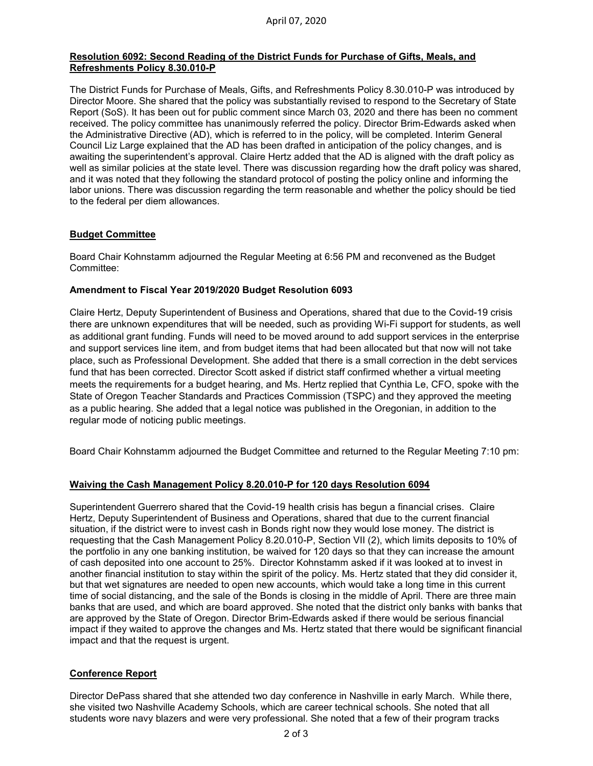## **Resolution 6092: Second Reading of the District Funds for Purchase of Gifts, Meals, and Refreshments Policy 8.30.010-P**

The District Funds for Purchase of Meals, Gifts, and Refreshments Policy 8.30.010-P was introduced by Director Moore. She shared that the policy was substantially revised to respond to the Secretary of State Report (SoS). It has been out for public comment since March 03, 2020 and there has been no comment received. The policy committee has unanimously referred the policy. Director Brim-Edwards asked when the Administrative Directive (AD), which is referred to in the policy, will be completed. Interim General Council Liz Large explained that the AD has been drafted in anticipation of the policy changes, and is awaiting the superintendent's approval. Claire Hertz added that the AD is aligned with the draft policy as well as similar policies at the state level. There was discussion regarding how the draft policy was shared, and it was noted that they following the standard protocol of posting the policy online and informing the labor unions. There was discussion regarding the term reasonable and whether the policy should be tied to the federal per diem allowances.

## **Budget Committee**

Board Chair Kohnstamm adjourned the Regular Meeting at 6:56 PM and reconvened as the Budget Committee:

## **Amendment to Fiscal Year 2019/2020 Budget Resolution 6093**

Claire Hertz, Deputy Superintendent of Business and Operations, shared that due to the Covid-19 crisis there are unknown expenditures that will be needed, such as providing Wi-Fi support for students, as well as additional grant funding. Funds will need to be moved around to add support services in the enterprise and support services line item, and from budget items that had been allocated but that now will not take place, such as Professional Development. She added that there is a small correction in the debt services fund that has been corrected. Director Scott asked if district staff confirmed whether a virtual meeting meets the requirements for a budget hearing, and Ms. Hertz replied that Cynthia Le, CFO, spoke with the State of Oregon Teacher Standards and Practices Commission (TSPC) and they approved the meeting as a public hearing. She added that a legal notice was published in the Oregonian, in addition to the regular mode of noticing public meetings.

Board Chair Kohnstamm adjourned the Budget Committee and returned to the Regular Meeting 7:10 pm:

## **Waiving the Cash Management Policy 8.20.010-P for 120 days Resolution 6094**

Superintendent Guerrero shared that the Covid-19 health crisis has begun a financial crises. Claire Hertz, Deputy Superintendent of Business and Operations, shared that due to the current financial situation, if the district were to invest cash in Bonds right now they would lose money. The district is requesting that the Cash Management Policy 8.20.010-P, Section VII (2), which limits deposits to 10% of the portfolio in any one banking institution, be waived for 120 days so that they can increase the amount of cash deposited into one account to 25%. Director Kohnstamm asked if it was looked at to invest in another financial institution to stay within the spirit of the policy. Ms. Hertz stated that they did consider it, but that wet signatures are needed to open new accounts, which would take a long time in this current time of social distancing, and the sale of the Bonds is closing in the middle of April. There are three main banks that are used, and which are board approved. She noted that the district only banks with banks that are approved by the State of Oregon. Director Brim-Edwards asked if there would be serious financial impact if they waited to approve the changes and Ms. Hertz stated that there would be significant financial impact and that the request is urgent.

# **Conference Report**

Director DePass shared that she attended two day conference in Nashville in early March. While there, she visited two Nashville Academy Schools, which are career technical schools. She noted that all students wore navy blazers and were very professional. She noted that a few of their program tracks